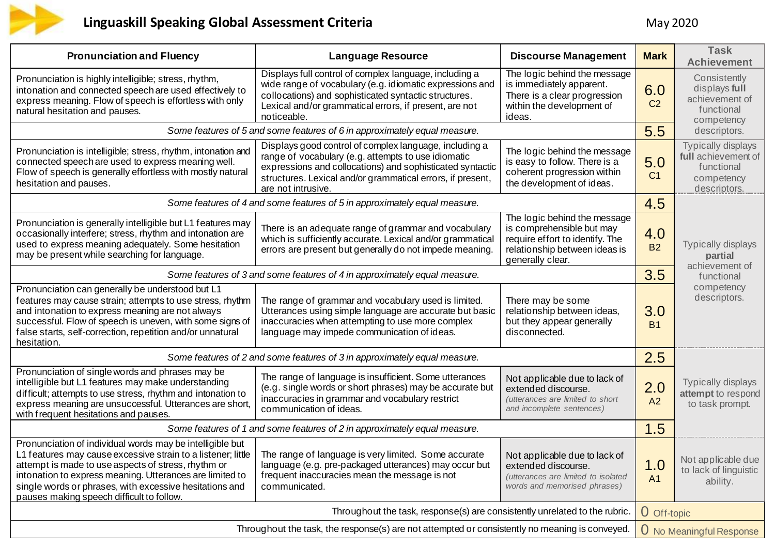

## **Linguaskill Speaking Global Assessment Criteria** May 2020

| <b>Pronunciation and Fluency</b>                                                                                                                                                                                                                                                                                                                                                                           | <b>Language Resource</b>                                                                                                                                                                                                                                       | <b>Discourse Management</b>                                                                                                                       | <b>Mark</b>                     | <b>Task</b><br><b>Achievement</b>                                                     |
|------------------------------------------------------------------------------------------------------------------------------------------------------------------------------------------------------------------------------------------------------------------------------------------------------------------------------------------------------------------------------------------------------------|----------------------------------------------------------------------------------------------------------------------------------------------------------------------------------------------------------------------------------------------------------------|---------------------------------------------------------------------------------------------------------------------------------------------------|---------------------------------|---------------------------------------------------------------------------------------|
| Pronunciation is highly intelligible; stress, rhythm,<br>intonation and connected speech are used effectively to<br>express meaning. Flow of speech is effortless with only<br>natural hesitation and pauses.                                                                                                                                                                                              | Displays full control of complex language, including a<br>wide range of vocabulary (e.g. idiomatic expressions and<br>collocations) and sophisticated syntactic structures.<br>Lexical and/or grammatical errors, if present, are not<br>noticeable.           | The logic behind the message<br>is immediately apparent.<br>There is a clear progression<br>within the development of<br>ideas.                   | 6.0<br>C <sub>2</sub>           | Consistently<br>displays full<br>achievement of<br>functional<br>competency           |
|                                                                                                                                                                                                                                                                                                                                                                                                            | Some features of 5 and some features of 6 in approximately equal measure.                                                                                                                                                                                      |                                                                                                                                                   | 5.5                             | descriptors.                                                                          |
| Pronunciation is intelligible; stress, rhythm, intonation and<br>connected speech are used to express meaning well.<br>Flow of speech is generally effortless with mostly natural<br>hesitation and pauses.                                                                                                                                                                                                | Displays good control of complex language, including a<br>range of vocabulary (e.g. attempts to use idiomatic<br>expressions and collocations) and sophisticated syntactic<br>structures. Lexical and/or grammatical errors, if present,<br>are not intrusive. | The logic behind the message<br>is easy to follow. There is a<br>coherent progression within<br>the development of ideas.                         | 5.0<br>C <sub>1</sub>           | Typically displays<br>full achievement of<br>functional<br>competency<br>descriptors. |
|                                                                                                                                                                                                                                                                                                                                                                                                            | Some features of 4 and some features of 5 in approximately equal measure.                                                                                                                                                                                      |                                                                                                                                                   | 4.5                             |                                                                                       |
| Pronunciation is generally intelligible but L1 features may<br>occasionally interfere; stress, rhythm and intonation are<br>used to express meaning adequately. Some hesitation<br>may be present while searching for language.                                                                                                                                                                            | There is an adequate range of grammar and vocabulary<br>which is sufficiently accurate. Lexical and/or grammatical<br>errors are present but generally do not impede meaning.                                                                                  | The logic behind the message<br>is comprehensible but may<br>require effort to identify. The<br>relationship between ideas is<br>generally clear. | 4.0<br><b>B2</b>                | <b>Typically displays</b><br>partial<br>achievement of                                |
| Some features of 3 and some features of 4 in approximately equal measure.                                                                                                                                                                                                                                                                                                                                  |                                                                                                                                                                                                                                                                |                                                                                                                                                   | 3.5                             | functional                                                                            |
| Pronunciation can generally be understood but L1<br>features may cause strain; attempts to use stress, rhythm<br>and intonation to express meaning are not always<br>successful. Flow of speech is uneven, with some signs of<br>false starts, self-correction, repetition and/or unnatural<br>hesitation.                                                                                                 | The range of grammar and vocabulary used is limited.<br>Utterances using simple language are accurate but basic<br>inaccuracies when attempting to use more complex<br>language may impede communication of ideas.                                             | There may be some<br>relationship between ideas,<br>but they appear generally<br>disconnected.                                                    | 3.0<br><b>B1</b>                | competency<br>descriptors.                                                            |
| Some features of 2 and some features of 3 in approximately equal measure.                                                                                                                                                                                                                                                                                                                                  |                                                                                                                                                                                                                                                                |                                                                                                                                                   | 2.5                             |                                                                                       |
| Pronunciation of single words and phrases may be<br>intelligible but L1 features may make understanding<br>difficult; attempts to use stress, rhythm and intonation to<br>express meaning are unsuccessful. Utterances are short,<br>with frequent hesitations and pauses.                                                                                                                                 | The range of language is insufficient. Some utterances<br>(e.g. single words or short phrases) may be accurate but<br>inaccuracies in grammar and vocabulary restrict<br>communication of ideas.                                                               | Not applicable due to lack of<br>extended discourse.<br>(utterances are limited to short<br>and incomplete sentences)                             | 2.0<br>A2                       | Typically displays<br>attempt to respond<br>to task prompt.                           |
| Some features of 1 and some features of 2 in approximately equal measure.                                                                                                                                                                                                                                                                                                                                  |                                                                                                                                                                                                                                                                |                                                                                                                                                   | 1.5                             |                                                                                       |
| Pronunciation of individual words may be intelligible but<br>1 features may cause excessive strain to a listener; little   The range of language is very limited. Some accurate<br>attempt is made to use aspects of stress, rhythm or<br>intonation to express meaning. Utterances are limited to<br>single words or phrases, with excessive hesitations and<br>pauses making speech difficult to follow. | language (e.g. pre-packaged utterances) may occur but<br>frequent inaccuracies mean the message is not<br>communicated.                                                                                                                                        | Not applicable due to lack of<br>extended discourse.<br>(utterances are limited to isolated<br>words and memorised phrases)                       | 1.0<br>A <sub>1</sub>           | Not applicable due<br>to lack of linguistic<br>ability.                               |
| Throughout the task, response(s) are consistently unrelated to the rubric.                                                                                                                                                                                                                                                                                                                                 |                                                                                                                                                                                                                                                                |                                                                                                                                                   | O Off-topic                     |                                                                                       |
| Throughout the task, the response(s) are not attempted or consistently no meaning is conveyed.                                                                                                                                                                                                                                                                                                             |                                                                                                                                                                                                                                                                |                                                                                                                                                   | <b>U</b> No Meaningful Response |                                                                                       |